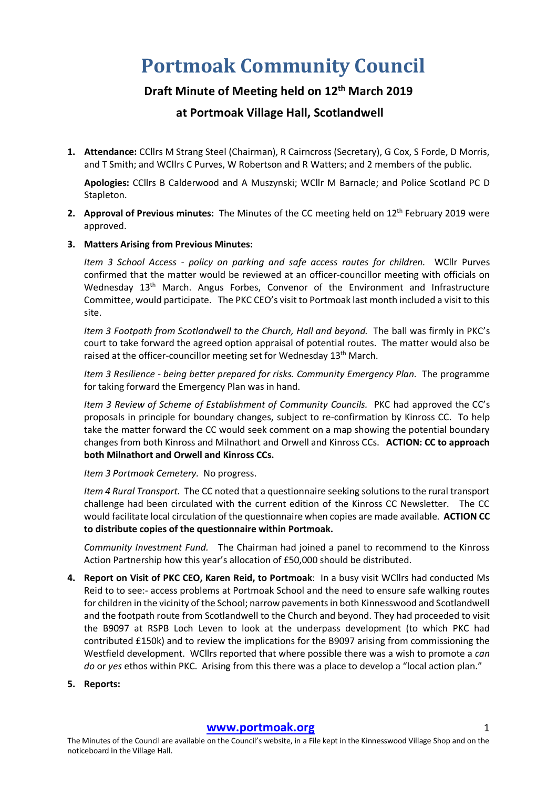## **Portmoak Community Council**

## **Draft Minute of Meeting held on 12th March 2019**

## **at Portmoak Village Hall, Scotlandwell**

**1. Attendance:** CCllrs M Strang Steel (Chairman), R Cairncross (Secretary), G Cox, S Forde, D Morris, and T Smith; and WCllrs C Purves, W Robertson and R Watters; and 2 members of the public.

**Apologies:** CCllrs B Calderwood and A Muszynski; WCllr M Barnacle; and Police Scotland PC D Stapleton.

- **2. Approval of Previous minutes:** The Minutes of the CC meeting held on 12<sup>th</sup> February 2019 were approved.
- **3. Matters Arising from Previous Minutes:**

*Item 3 School Access - policy on parking and safe access routes for children.* WCllr Purves confirmed that the matter would be reviewed at an officer-councillor meeting with officials on Wednesday 13<sup>th</sup> March. Angus Forbes, Convenor of the Environment and Infrastructure Committee, would participate. The PKC CEO's visit to Portmoak last month included a visit to this site.

*Item 3 Footpath from Scotlandwell to the Church, Hall and beyond.* The ball was firmly in PKC's court to take forward the agreed option appraisal of potential routes. The matter would also be raised at the officer-councillor meeting set for Wednesday 13<sup>th</sup> March.

*Item 3 Resilience - being better prepared for risks. Community Emergency Plan.* The programme for taking forward the Emergency Plan was in hand.

*Item 3 Review of Scheme of Establishment of Community Councils.* PKC had approved the CC's proposals in principle for boundary changes, subject to re-confirmation by Kinross CC. To help take the matter forward the CC would seek comment on a map showing the potential boundary changes from both Kinross and Milnathort and Orwell and Kinross CCs. **ACTION: CC to approach both Milnathort and Orwell and Kinross CCs.**

*Item 3 Portmoak Cemetery.* No progress.

*Item 4 Rural Transport.* The CC noted that a questionnaire seeking solutions to the rural transport challenge had been circulated with the current edition of the Kinross CC Newsletter. The CC would facilitate local circulation of the questionnaire when copies are made available. **ACTION CC to distribute copies of the questionnaire within Portmoak.**

*Community Investment Fund.* The Chairman had joined a panel to recommend to the Kinross Action Partnership how this year's allocation of £50,000 should be distributed.

- **4. Report on Visit of PKC CEO, Karen Reid, to Portmoak**: In a busy visit WCllrs had conducted Ms Reid to to see:- access problems at Portmoak School and the need to ensure safe walking routes for children in the vicinity of the School; narrow pavements in both Kinnesswood and Scotlandwell and the footpath route from Scotlandwell to the Church and beyond. They had proceeded to visit the B9097 at RSPB Loch Leven to look at the underpass development (to which PKC had contributed £150k) and to review the implications for the B9097 arising from commissioning the Westfield development. WCllrs reported that where possible there was a wish to promote a *can do* or *yes* ethos within PKC. Arising from this there was a place to develop a "local action plan."
- **5. Reports:**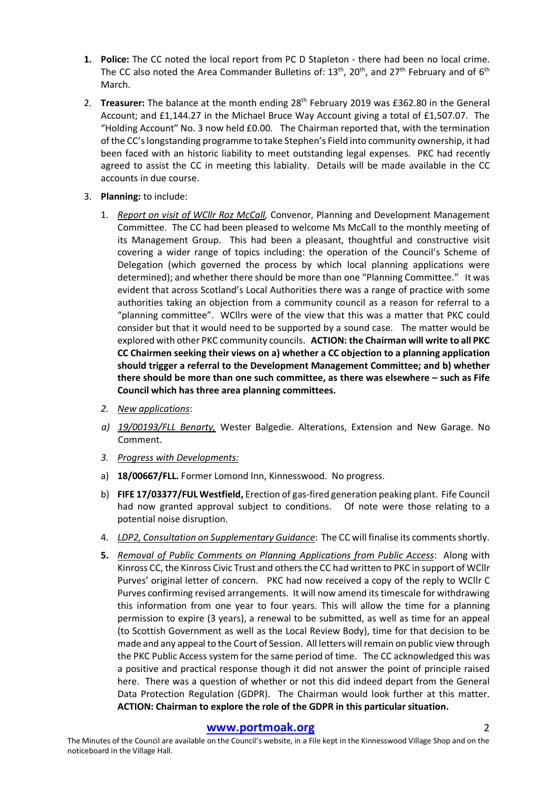- **1. Police:** The CC noted the local report from PC D Stapleton there had been no local crime. The CC also noted the Area Commander Bulletins of:  $13<sup>th</sup>$ ,  $20<sup>th</sup>$ , and  $27<sup>th</sup>$  February and of  $6<sup>th</sup>$ March.
- 2. **Treasurer:** The balance at the month ending 28<sup>th</sup> February 2019 was £362.80 in the General Account; and £1,144.27 in the Michael Bruce Way Account giving a total of £1,507.07. The "Holding Account" No. 3 now held £0.00. The Chairman reported that, with the termination of the CC's longstanding programme to take Stephen's Field into community ownership, it had been faced with an historic liability to meet outstanding legal expenses. PKC had recently agreed to assist the CC in meeting this labiality. Details will be made available in the CC accounts in due course.
- 3. **Planning:** to include:
	- 1. *Report on visit of WCllr Roz McCall,* Convenor, Planning and Development Management Committee. The CC had been pleased to welcome Ms McCall to the monthly meeting of its Management Group. This had been a pleasant, thoughtful and constructive visit covering a wider range of topics including: the operation of the Council's Scheme of Delegation (which governed the process by which local planning applications were determined); and whether there should be more than one "Planning Committee." It was evident that across Scotland's Local Authorities there was a range of practice with some authorities taking an objection from a community council as a reason for referral to a "planning committee". WCllrs were of the view that this was a matter that PKC could consider but that it would need to be supported by a sound case. The matter would be explored with other PKC community councils. **ACTION: the Chairman will write to all PKC CC Chairmen seeking their views on a) whether a CC objection to a planning application should trigger a referral to the Development Management Committee; and b) whether there should be more than one such committee, as there was elsewhere – such as Fife Council which has three area planning committees.**
	- *2. New applications*:
	- *a) 19/00193/FLL Benarty,* Wester Balgedie. Alterations, Extension and New Garage. No Comment.
	- *3. Progress with Developments:*
	- a) **18/00667/FLL.** Former Lomond Inn, Kinnesswood. No progress.
	- b) **FIFE 17/03377/FUL Westfield,** Erection of gas-fired generation peaking plant. Fife Council had now granted approval subject to conditions. Of note were those relating to a potential noise disruption.
	- 4. *LDP2, Consultation on Supplementary Guidance*: The CC will finalise its comments shortly.
	- **5.** *Removal of Public Comments on Planning Applications from Public Access*: Along with Kinross CC, the Kinross Civic Trust and others the CC had written to PKC in support of WCllr Purves' original letter of concern. PKC had now received a copy of the reply to WCllr C Purves confirming revised arrangements. It will now amend its timescale for withdrawing this information from one year to four years. This will allow the time for a planning permission to expire (3 years), a renewal to be submitted, as well as time for an appeal (to Scottish Government as well as the Local Review Body), time for that decision to be made and any appeal to the Court of Session. All letters will remain on public view through the PKC Public Access system for the same period of time. The CC acknowledged this was a positive and practical response though it did not answer the point of principle raised here. There was a question of whether or not this did indeed depart from the General Data Protection Regulation (GDPR). The Chairman would look further at this matter. **ACTION: Chairman to explore the role of the GDPR in this particular situation.**

## **www.portmoak.org** 2